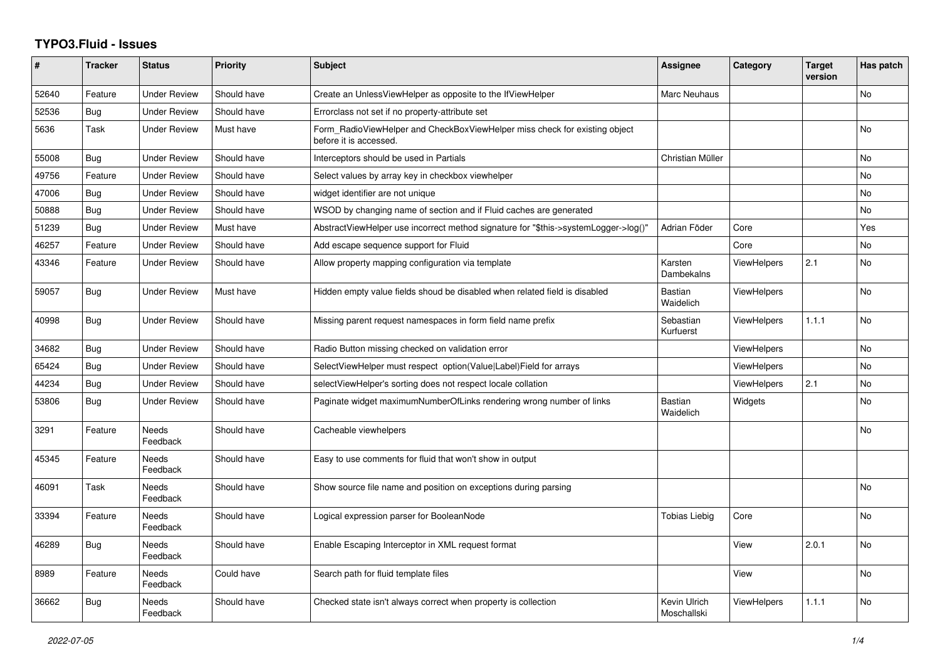## **TYPO3.Fluid - Issues**

| #     | <b>Tracker</b> | <b>Status</b>            | <b>Priority</b> | <b>Subject</b>                                                                                       | <b>Assignee</b>             | Category           | <b>Target</b><br>version | Has patch |
|-------|----------------|--------------------------|-----------------|------------------------------------------------------------------------------------------------------|-----------------------------|--------------------|--------------------------|-----------|
| 52640 | Feature        | <b>Under Review</b>      | Should have     | Create an UnlessViewHelper as opposite to the IfViewHelper                                           | Marc Neuhaus                |                    |                          | No        |
| 52536 | Bug            | <b>Under Review</b>      | Should have     | Errorclass not set if no property-attribute set                                                      |                             |                    |                          |           |
| 5636  | Task           | <b>Under Review</b>      | Must have       | Form RadioViewHelper and CheckBoxViewHelper miss check for existing object<br>before it is accessed. |                             |                    |                          | <b>No</b> |
| 55008 | Bug            | <b>Under Review</b>      | Should have     | Interceptors should be used in Partials                                                              | Christian Müller            |                    |                          | <b>No</b> |
| 49756 | Feature        | <b>Under Review</b>      | Should have     | Select values by array key in checkbox viewhelper                                                    |                             |                    |                          | <b>No</b> |
| 47006 | <b>Bug</b>     | <b>Under Review</b>      | Should have     | widget identifier are not unique                                                                     |                             |                    |                          | <b>No</b> |
| 50888 | Bug            | <b>Under Review</b>      | Should have     | WSOD by changing name of section and if Fluid caches are generated                                   |                             |                    |                          | No        |
| 51239 | Bug            | <b>Under Review</b>      | Must have       | AbstractViewHelper use incorrect method signature for "\$this->systemLogger->log()"                  | Adrian Föder                | Core               |                          | Yes       |
| 46257 | Feature        | <b>Under Review</b>      | Should have     | Add escape sequence support for Fluid                                                                |                             | Core               |                          | No        |
| 43346 | Feature        | <b>Under Review</b>      | Should have     | Allow property mapping configuration via template                                                    | Karsten<br>Dambekalns       | <b>ViewHelpers</b> | 2.1                      | <b>No</b> |
| 59057 | Bug            | <b>Under Review</b>      | Must have       | Hidden empty value fields shoud be disabled when related field is disabled                           | Bastian<br>Waidelich        | <b>ViewHelpers</b> |                          | No        |
| 40998 | Bug            | <b>Under Review</b>      | Should have     | Missing parent request namespaces in form field name prefix                                          | Sebastian<br>Kurfuerst      | <b>ViewHelpers</b> | 1.1.1                    | <b>No</b> |
| 34682 | <b>Bug</b>     | <b>Under Review</b>      | Should have     | Radio Button missing checked on validation error                                                     |                             | ViewHelpers        |                          | <b>No</b> |
| 65424 | Bug            | <b>Under Review</b>      | Should have     | SelectViewHelper must respect option(Value Label)Field for arrays                                    |                             | ViewHelpers        |                          | No        |
| 44234 | <b>Bug</b>     | <b>Under Review</b>      | Should have     | selectViewHelper's sorting does not respect locale collation                                         |                             | ViewHelpers        | 2.1                      | <b>No</b> |
| 53806 | Bug            | <b>Under Review</b>      | Should have     | Paginate widget maximumNumberOfLinks rendering wrong number of links                                 | Bastian<br>Waidelich        | Widgets            |                          | No        |
| 3291  | Feature        | <b>Needs</b><br>Feedback | Should have     | Cacheable viewhelpers                                                                                |                             |                    |                          | <b>No</b> |
| 45345 | Feature        | Needs<br>Feedback        | Should have     | Easy to use comments for fluid that won't show in output                                             |                             |                    |                          |           |
| 46091 | Task           | <b>Needs</b><br>Feedback | Should have     | Show source file name and position on exceptions during parsing                                      |                             |                    |                          | <b>No</b> |
| 33394 | Feature        | Needs<br>Feedback        | Should have     | Logical expression parser for BooleanNode                                                            | Tobias Liebig               | Core               |                          | <b>No</b> |
| 46289 | Bug            | Needs<br>Feedback        | Should have     | Enable Escaping Interceptor in XML request format                                                    |                             | View               | 2.0.1                    | No        |
| 8989  | Feature        | <b>Needs</b><br>Feedback | Could have      | Search path for fluid template files                                                                 |                             | View               |                          | <b>No</b> |
| 36662 | Bug            | Needs<br>Feedback        | Should have     | Checked state isn't always correct when property is collection                                       | Kevin Ulrich<br>Moschallski | ViewHelpers        | 1.1.1                    | No        |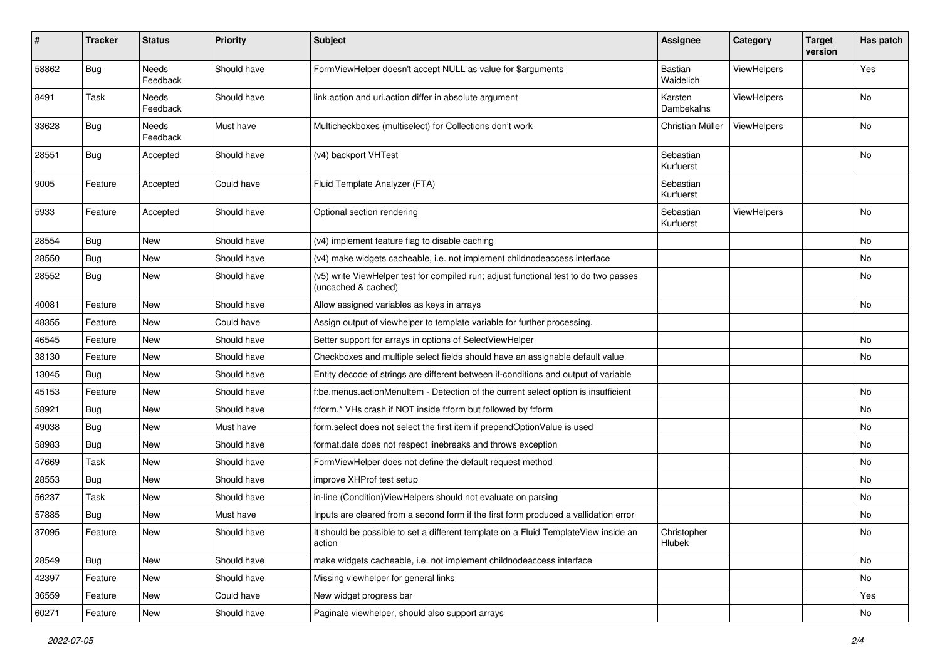| #     | <b>Tracker</b> | <b>Status</b>            | <b>Priority</b> | <b>Subject</b>                                                                                              | <b>Assignee</b>        | Category           | <b>Target</b><br>version | Has patch |
|-------|----------------|--------------------------|-----------------|-------------------------------------------------------------------------------------------------------------|------------------------|--------------------|--------------------------|-----------|
| 58862 | Bug            | <b>Needs</b><br>Feedback | Should have     | FormViewHelper doesn't accept NULL as value for \$arguments                                                 | Bastian<br>Waidelich   | ViewHelpers        |                          | Yes       |
| 8491  | Task           | Needs<br>Feedback        | Should have     | link.action and uri.action differ in absolute argument                                                      | Karsten<br>Dambekalns  | ViewHelpers        |                          | No        |
| 33628 | Bug            | Needs<br>Feedback        | Must have       | Multicheckboxes (multiselect) for Collections don't work                                                    | Christian Müller       | <b>ViewHelpers</b> |                          | No        |
| 28551 | Bug            | Accepted                 | Should have     | (v4) backport VHTest                                                                                        | Sebastian<br>Kurfuerst |                    |                          | No        |
| 9005  | Feature        | Accepted                 | Could have      | Fluid Template Analyzer (FTA)                                                                               | Sebastian<br>Kurfuerst |                    |                          |           |
| 5933  | Feature        | Accepted                 | Should have     | Optional section rendering                                                                                  | Sebastian<br>Kurfuerst | ViewHelpers        |                          | No        |
| 28554 | Bug            | New                      | Should have     | (v4) implement feature flag to disable caching                                                              |                        |                    |                          | No        |
| 28550 | <b>Bug</b>     | New                      | Should have     | (v4) make widgets cacheable, i.e. not implement childnodeaccess interface                                   |                        |                    |                          | No        |
| 28552 | <b>Bug</b>     | New                      | Should have     | (v5) write ViewHelper test for compiled run; adjust functional test to do two passes<br>(uncached & cached) |                        |                    |                          | No        |
| 40081 | Feature        | <b>New</b>               | Should have     | Allow assigned variables as keys in arrays                                                                  |                        |                    |                          | No        |
| 48355 | Feature        | New                      | Could have      | Assign output of viewhelper to template variable for further processing.                                    |                        |                    |                          |           |
| 46545 | Feature        | New                      | Should have     | Better support for arrays in options of SelectViewHelper                                                    |                        |                    |                          | No        |
| 38130 | Feature        | New                      | Should have     | Checkboxes and multiple select fields should have an assignable default value                               |                        |                    |                          | No        |
| 13045 | <b>Bug</b>     | New                      | Should have     | Entity decode of strings are different between if-conditions and output of variable                         |                        |                    |                          |           |
| 45153 | Feature        | New                      | Should have     | f:be.menus.actionMenuItem - Detection of the current select option is insufficient                          |                        |                    |                          | No        |
| 58921 | Bug            | New                      | Should have     | f:form.* VHs crash if NOT inside f:form but followed by f:form                                              |                        |                    |                          | No        |
| 49038 | <b>Bug</b>     | New                      | Must have       | form select does not select the first item if prependOptionValue is used                                    |                        |                    |                          | No        |
| 58983 | <b>Bug</b>     | New                      | Should have     | format.date does not respect linebreaks and throws exception                                                |                        |                    |                          | No        |
| 47669 | Task           | New                      | Should have     | FormViewHelper does not define the default request method                                                   |                        |                    |                          | No        |
| 28553 | <b>Bug</b>     | New                      | Should have     | improve XHProf test setup                                                                                   |                        |                    |                          | No        |
| 56237 | Task           | New                      | Should have     | in-line (Condition) View Helpers should not evaluate on parsing                                             |                        |                    |                          | No        |
| 57885 | <b>Bug</b>     | New                      | Must have       | Inputs are cleared from a second form if the first form produced a vallidation error                        |                        |                    |                          | No        |
| 37095 | Feature        | New                      | Should have     | It should be possible to set a different template on a Fluid TemplateView inside an<br>action               | Christopher<br>Hlubek  |                    |                          | No        |
| 28549 | Bug            | New                      | Should have     | make widgets cacheable, i.e. not implement childnodeaccess interface                                        |                        |                    |                          | No        |
| 42397 | Feature        | New                      | Should have     | Missing viewhelper for general links                                                                        |                        |                    |                          | No        |
| 36559 | Feature        | New                      | Could have      | New widget progress bar                                                                                     |                        |                    |                          | Yes       |
| 60271 | Feature        | New                      | Should have     | Paginate viewhelper, should also support arrays                                                             |                        |                    |                          | No        |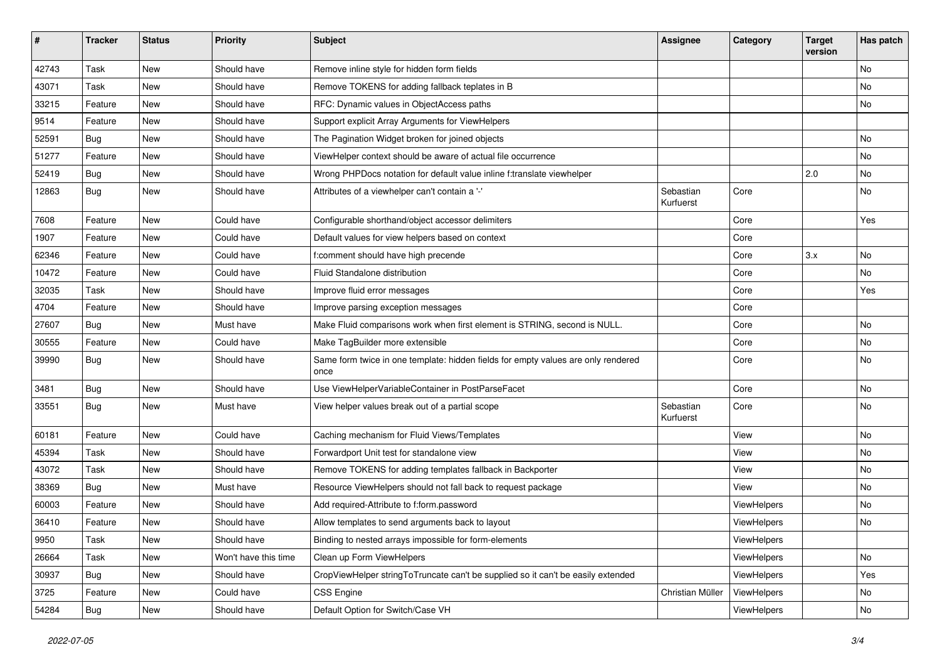| $\sharp$ | <b>Tracker</b> | <b>Status</b> | <b>Priority</b>      | <b>Subject</b>                                                                            | <b>Assignee</b>        | Category    | <b>Target</b><br>version | Has patch |
|----------|----------------|---------------|----------------------|-------------------------------------------------------------------------------------------|------------------------|-------------|--------------------------|-----------|
| 42743    | Task           | New           | Should have          | Remove inline style for hidden form fields                                                |                        |             |                          | <b>No</b> |
| 43071    | Task           | New           | Should have          | Remove TOKENS for adding fallback teplates in B                                           |                        |             |                          | No        |
| 33215    | Feature        | New           | Should have          | RFC: Dynamic values in ObjectAccess paths                                                 |                        |             |                          | No        |
| 9514     | Feature        | New           | Should have          | Support explicit Array Arguments for ViewHelpers                                          |                        |             |                          |           |
| 52591    | Bug            | New           | Should have          | The Pagination Widget broken for joined objects                                           |                        |             |                          | No        |
| 51277    | Feature        | New           | Should have          | ViewHelper context should be aware of actual file occurrence                              |                        |             |                          | No        |
| 52419    | Bug            | New           | Should have          | Wrong PHPDocs notation for default value inline f:translate viewhelper                    |                        |             | 2.0                      | No        |
| 12863    | Bug            | New           | Should have          | Attributes of a viewhelper can't contain a '-'                                            | Sebastian<br>Kurfuerst | Core        |                          | No        |
| 7608     | Feature        | New           | Could have           | Configurable shorthand/object accessor delimiters                                         |                        | Core        |                          | Yes       |
| 1907     | Feature        | New           | Could have           | Default values for view helpers based on context                                          |                        | Core        |                          |           |
| 62346    | Feature        | New           | Could have           | f:comment should have high precende                                                       |                        | Core        | 3.x                      | No        |
| 10472    | Feature        | New           | Could have           | Fluid Standalone distribution                                                             |                        | Core        |                          | No        |
| 32035    | Task           | New           | Should have          | Improve fluid error messages                                                              |                        | Core        |                          | Yes       |
| 4704     | Feature        | New           | Should have          | Improve parsing exception messages                                                        |                        | Core        |                          |           |
| 27607    | Bug            | New           | Must have            | Make Fluid comparisons work when first element is STRING, second is NULL.                 |                        | Core        |                          | No        |
| 30555    | Feature        | New           | Could have           | Make TagBuilder more extensible                                                           |                        | Core        |                          | No        |
| 39990    | Bug            | New           | Should have          | Same form twice in one template: hidden fields for empty values are only rendered<br>once |                        | Core        |                          | No        |
| 3481     | Bug            | New           | Should have          | Use ViewHelperVariableContainer in PostParseFacet                                         |                        | Core        |                          | No        |
| 33551    | <b>Bug</b>     | New           | Must have            | View helper values break out of a partial scope                                           | Sebastian<br>Kurfuerst | Core        |                          | No        |
| 60181    | Feature        | New           | Could have           | Caching mechanism for Fluid Views/Templates                                               |                        | View        |                          | No        |
| 45394    | Task           | New           | Should have          | Forwardport Unit test for standalone view                                                 |                        | View        |                          | No        |
| 43072    | Task           | New           | Should have          | Remove TOKENS for adding templates fallback in Backporter                                 |                        | View        |                          | No        |
| 38369    | Bug            | New           | Must have            | Resource ViewHelpers should not fall back to request package                              |                        | View        |                          | No        |
| 60003    | Feature        | New           | Should have          | Add required-Attribute to f:form.password                                                 |                        | ViewHelpers |                          | <b>No</b> |
| 36410    | Feature        | New           | Should have          | Allow templates to send arguments back to layout                                          |                        | ViewHelpers |                          | No        |
| 9950     | Task           | New           | Should have          | Binding to nested arrays impossible for form-elements                                     |                        | ViewHelpers |                          |           |
| 26664    | Task           | New           | Won't have this time | Clean up Form ViewHelpers                                                                 |                        | ViewHelpers |                          | No        |
| 30937    | Bug            | New           | Should have          | CropViewHelper stringToTruncate can't be supplied so it can't be easily extended          |                        | ViewHelpers |                          | Yes       |
| 3725     | Feature        | New           | Could have           | <b>CSS Engine</b>                                                                         | Christian Müller       | ViewHelpers |                          | No        |
| 54284    | Bug            | New           | Should have          | Default Option for Switch/Case VH                                                         |                        | ViewHelpers |                          | No        |